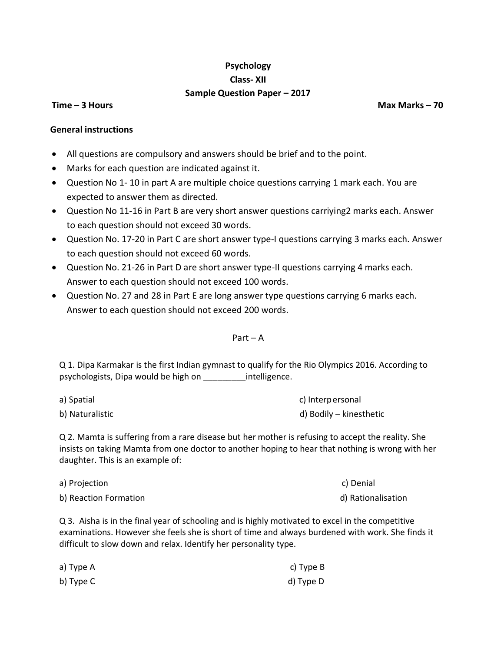# **Psychology Class- XII Sample Question Paper – 2017**

**Time – 3 Hours 1988 Max Marks 2008 Max Marks 2008 Max Marks 2008 Max Marks 2008** 

#### **General instructions**

- All questions are compulsory and answers should be brief and to the point.
- Marks for each question are indicated against it.
- Question No 1- 10 in part A are multiple choice questions carrying 1 mark each. You are expected to answer them as directed.
- Question No 11-16 in Part B are very short answer questions carriying2 marks each. Answer to each question should not exceed 30 words.
- Question No. 17-20 in Part C are short answer type-I questions carrying 3 marks each. Answer to each question should not exceed 60 words.
- Question No. 21-26 in Part D are short answer type-II questions carrying 4 marks each. Answer to each question should not exceed 100 words.
- Question No. 27 and 28 in Part E are long answer type questions carrying 6 marks each. Answer to each question should not exceed 200 words.

#### Part – A

Q 1. Dipa Karmakar is the first Indian gymnast to qualify for the Rio Olympics 2016. According to psychologists, Dipa would be high on \_\_\_\_\_\_\_\_\_intelligence.

| a) Spatial      | c) Interpersonal        |
|-----------------|-------------------------|
| b) Naturalistic | d) Bodily – kinesthetic |

Q 2. Mamta is suffering from a rare disease but her mother is refusing to accept the reality. She insists on taking Mamta from one doctor to another hoping to hear that nothing is wrong with her daughter. This is an example of:

| a) Projection         | c) Denial          |
|-----------------------|--------------------|
| b) Reaction Formation | d) Rationalisation |

Q 3. Aisha is in the final year of schooling and is highly motivated to excel in the competitive examinations. However she feels she is short of time and always burdened with work. She finds it difficult to slow down and relax. Identify her personality type.

| a) Type A | c) Type B |
|-----------|-----------|
| b) Type C | d) Type D |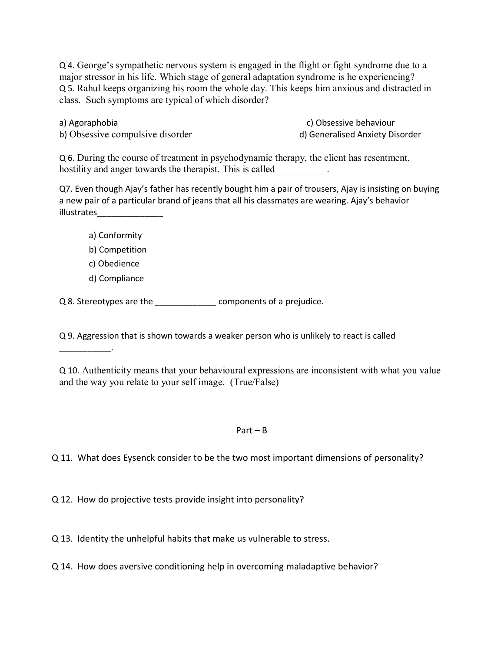Q 4. George's sympathetic nervous system is engaged in the flight or fight syndrome due to a major stressor in his life. Which stage of general adaptation syndrome is he experiencing? Q 5. Rahul keeps organizing his room the whole day. This keeps him anxious and distracted in class. Such symptoms are typical of which disorder?

a) Agoraphobia c) Obsessive behaviour

b) Obsessive compulsive disorder disorder d) Generalised Anxiety Disorder

Q 6. During the course of treatment in psychodynamic therapy, the client has resentment, hostility and anger towards the therapist. This is called

Q7. Even though Ajay's father has recently bought him a pair of trousers, Ajay is insisting on buying a new pair of a particular brand of jeans that all his classmates are wearing. Ajay's behavior illustrates\_\_\_\_\_\_\_\_\_\_\_\_\_\_

a) Conformity b) Competition c) Obedience d) Compliance

\_\_\_\_\_\_\_\_\_\_\_.

Q 8. Stereotypes are the \_\_\_\_\_\_\_\_\_\_\_\_\_\_\_\_ components of a prejudice.

Q 9. Aggression that is shown towards a weaker person who is unlikely to react is called

Q 10. Authenticity means that your behavioural expressions are inconsistent with what you value and the way you relate to your self image. (True/False)

### Part – B

Q 11. What does Eysenck consider to be the two most important dimensions of personality?

Q 12. How do projective tests provide insight into personality?

Q 13. Identity the unhelpful habits that make us vulnerable to stress.

Q 14. How does aversive conditioning help in overcoming maladaptive behavior?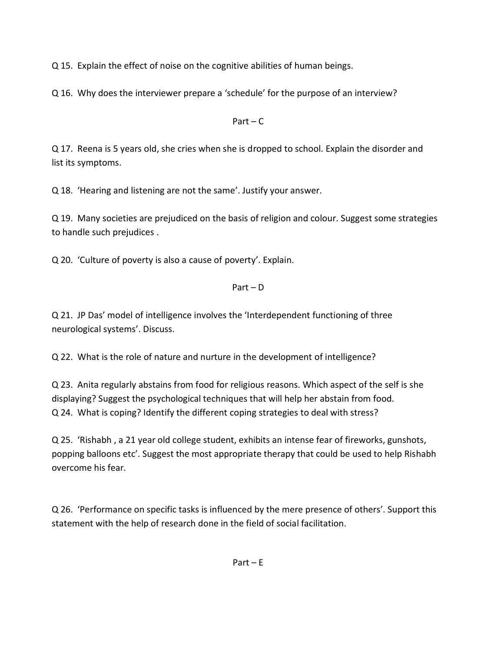Q 15. Explain the effect of noise on the cognitive abilities of human beings.

Q 16. Why does the interviewer prepare a 'schedule' for the purpose of an interview?

Part –  $C$ 

Q 17. Reena is 5 years old, she cries when she is dropped to school. Explain the disorder and list its symptoms.

Q 18. 'Hearing and listening are not the same'. Justify your answer.

Q 19. Many societies are prejudiced on the basis of religion and colour. Suggest some strategies to handle such prejudices .

Q 20. 'Culture of poverty is also a cause of poverty'. Explain.

## Part – D

Q 21. JP Das' model of intelligence involves the 'Interdependent functioning of three neurological systems'. Discuss.

Q 22. What is the role of nature and nurture in the development of intelligence?

Q 23. Anita regularly abstains from food for religious reasons. Which aspect of the self is she displaying? Suggest the psychological techniques that will help her abstain from food. Q 24. What is coping? Identify the different coping strategies to deal with stress?

Q 25. 'Rishabh , a 21 year old college student, exhibits an intense fear of fireworks, gunshots, popping balloons etc'. Suggest the most appropriate therapy that could be used to help Rishabh overcome his fear.

Q 26. 'Performance on specific tasks is influenced by the mere presence of others'. Support this statement with the help of research done in the field of social facilitation.

Part – E